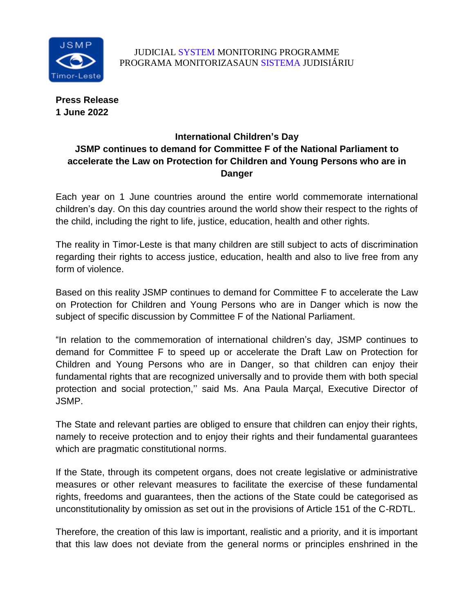

**Press Release 1 June 2022**

## **International Children's Day JSMP continues to demand for Committee F of the National Parliament to accelerate the Law on Protection for Children and Young Persons who are in Danger**

Each year on 1 June countries around the entire world commemorate international children's day. On this day countries around the world show their respect to the rights of the child, including the right to life, justice, education, health and other rights.

The reality in Timor-Leste is that many children are still subject to acts of discrimination regarding their rights to access justice, education, health and also to live free from any form of violence.

Based on this reality JSMP continues to demand for Committee F to accelerate the Law on Protection for Children and Young Persons who are in Danger which is now the subject of specific discussion by Committee F of the National Parliament.

"In relation to the commemoration of international children's day, JSMP continues to demand for Committee F to speed up or accelerate the Draft Law on Protection for Children and Young Persons who are in Danger, so that children can enjoy their fundamental rights that are recognized universally and to provide them with both special protection and social protection,'' said Ms. Ana Paula Marçal, Executive Director of JSMP.

The State and relevant parties are obliged to ensure that children can enjoy their rights, namely to receive protection and to enjoy their rights and their fundamental guarantees which are pragmatic constitutional norms.

If the State, through its competent organs, does not create legislative or administrative measures or other relevant measures to facilitate the exercise of these fundamental rights, freedoms and guarantees, then the actions of the State could be categorised as unconstitutionality by omission as set out in the provisions of Article 151 of the C-RDTL.

Therefore, the creation of this law is important, realistic and a priority, and it is important that this law does not deviate from the general norms or principles enshrined in the